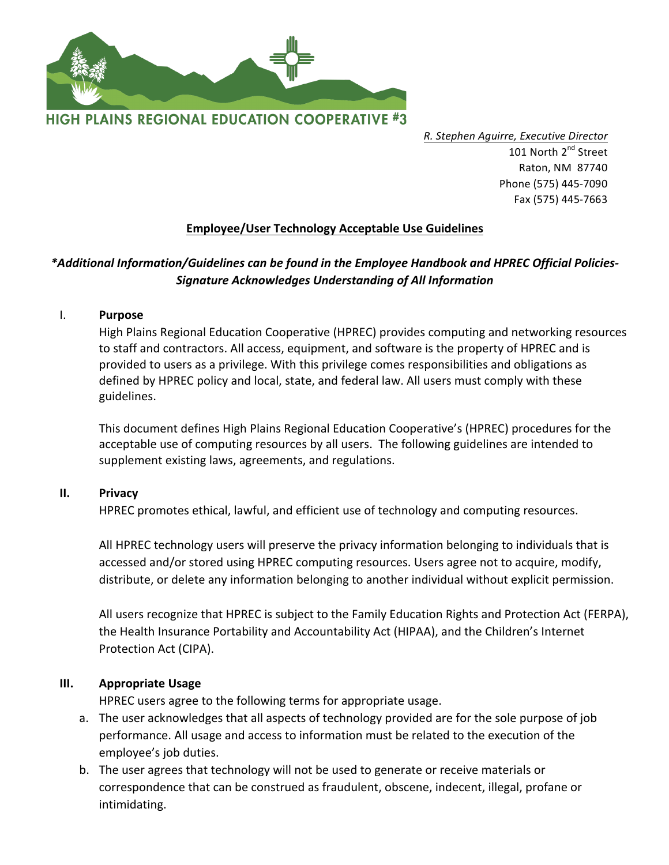

*R. Stephen Aguirre, Executive Director* 101 North 2<sup>nd</sup> Street Raton, NM 87740 Phone (575) 445-7090 Fax (575) 445-7663

# **Employee/User Technology Acceptable Use Guidelines**

# \*Additional Information/Guidelines can be found in the Employee Handbook and HPREC Official Policies-*Signature Acknowledges Understanding of All Information*

I. **Purpose** 

High Plains Regional Education Cooperative (HPREC) provides computing and networking resources to staff and contractors. All access, equipment, and software is the property of HPREC and is provided to users as a privilege. With this privilege comes responsibilities and obligations as defined by HPREC policy and local, state, and federal law. All users must comply with these guidelines.

This document defines High Plains Regional Education Cooperative's (HPREC) procedures for the acceptable use of computing resources by all users. The following guidelines are intended to supplement existing laws, agreements, and regulations.

#### **II. Privacy**

HPREC promotes ethical, lawful, and efficient use of technology and computing resources.

All HPREC technology users will preserve the privacy information belonging to individuals that is accessed and/or stored using HPREC computing resources. Users agree not to acquire, modify, distribute, or delete any information belonging to another individual without explicit permission.

All users recognize that HPREC is subject to the Family Education Rights and Protection Act (FERPA), the Health Insurance Portability and Accountability Act (HIPAA), and the Children's Internet Protection Act (CIPA).

#### **III. Appropriate Usage**

HPREC users agree to the following terms for appropriate usage.

- a. The user acknowledges that all aspects of technology provided are for the sole purpose of job performance. All usage and access to information must be related to the execution of the employee's job duties.
- b. The user agrees that technology will not be used to generate or receive materials or correspondence that can be construed as fraudulent, obscene, indecent, illegal, profane or intimidating.